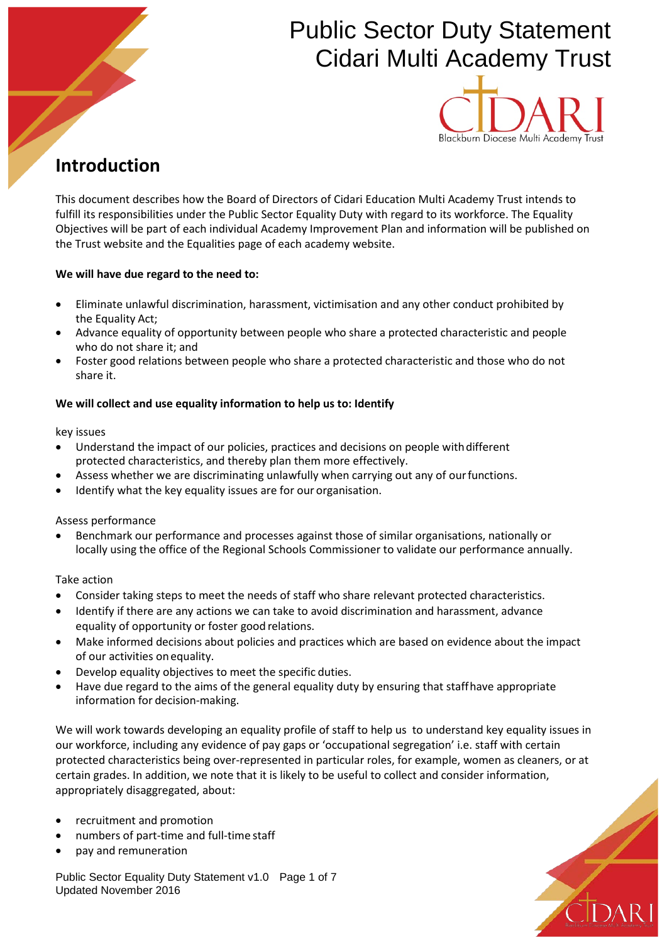# Public Sector Duty Statement Cidari Multi Academy Trust



## **Introduction**

This document describes how the Board of Directors of Cidari Education Multi Academy Trust intends to fulfill its responsibilities under the Public Sector Equality Duty with regard to its workforce. The Equality Objectives will be part of each individual Academy Improvement Plan and information will be published on the Trust website and the Equalities page of each academy website.

#### **We will have due regard to the need to:**

- Eliminate unlawful discrimination, harassment, victimisation and any other conduct prohibited by the Equality Act;
- Advance equality of opportunity between people who share a protected characteristic and people who do not share it; and
- Foster good relations between people who share a protected characteristic and those who do not share it.

### **We will collect and use equality information to help us to: Identify**

key issues

- Understand the impact of our policies, practices and decisions on people with different protected characteristics, and thereby plan them more effectively.
- Assess whether we are discriminating unlawfully when carrying out any of our functions.
- Identify what the key equality issues are for our organisation.

Assess performance

• Benchmark our performance and processes against those of similar organisations, nationally or locally using the office of the Regional Schools Commissioner to validate our performance annually.

Take action

- Consider taking steps to meet the needs of staff who share relevant protected characteristics.
- Identify if there are any actions we can take to avoid discrimination and harassment, advance equality of opportunity or foster good relations.
- Make informed decisions about policies and practices which are based on evidence about the impact of our activities onequality.
- Develop equality objectives to meet the specific duties.
- Have due regard to the aims of the general equality duty by ensuring that staffhave appropriate information for decision-making.

We will work towards developing an equality profile of staff to help us to understand key equality issues in our workforce, including any evidence of pay gaps or 'occupational segregation' i.e. staff with certain protected characteristics being over-represented in particular roles, for example, women as cleaners, or at certain grades. In addition, we note that it is likely to be useful to collect and consider information, appropriately disaggregated, about:

- recruitment and promotion
- numbers of part-time and full-time staff
- pay and remuneration

Public Sector Equality Duty Statement v1.0 Page 1 of 7 Updated November 2016

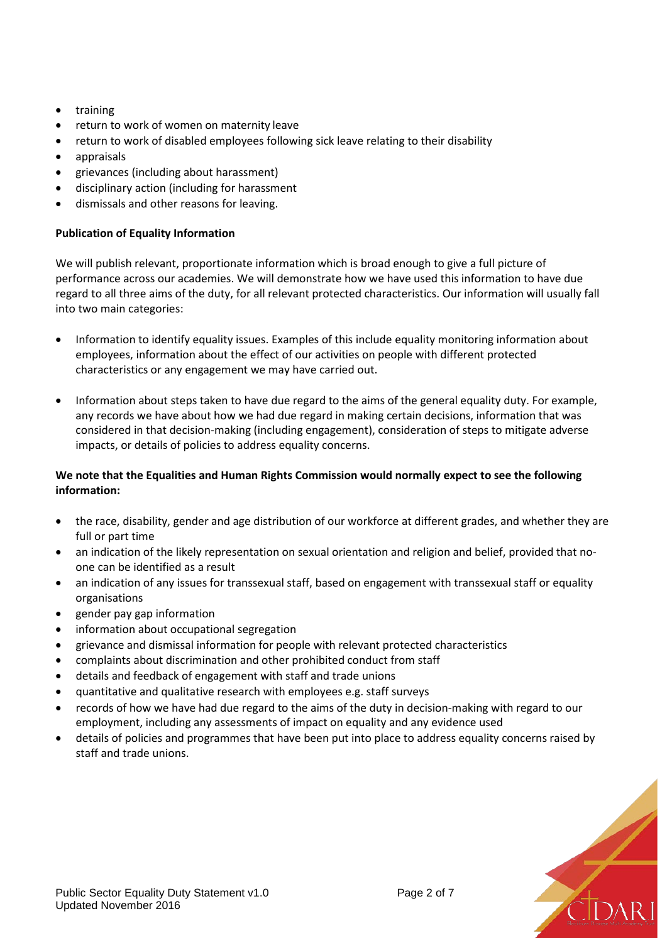- training
- return to work of women on maternity leave
- return to work of disabled employees following sick leave relating to their disability
- appraisals
- grievances (including about harassment)
- disciplinary action (including for harassment
- dismissals and other reasons for leaving.

#### **Publication of Equality Information**

We will publish relevant, proportionate information which is broad enough to give a full picture of performance across our academies. We will demonstrate how we have used this information to have due regard to all three aims of the duty, for all relevant protected characteristics. Our information will usually fall into two main categories:

- Information to identify equality issues. Examples of this include equality monitoring information about employees, information about the effect of our activities on people with different protected characteristics or any engagement we may have carried out.
- Information about steps taken to have due regard to the aims of the general equality duty. For example, any records we have about how we had due regard in making certain decisions, information that was considered in that decision-making (including engagement), consideration of steps to mitigate adverse impacts, or details of policies to address equality concerns.

#### **We note that the Equalities and Human Rights Commission would normally expect to see the following information:**

- the race, disability, gender and age distribution of our workforce at different grades, and whether they are full or part time
- an indication of the likely representation on sexual orientation and religion and belief, provided that noone can be identified as a result
- an indication of any issues for transsexual staff, based on engagement with transsexual staff or equality organisations
- gender pay gap information
- information about occupational segregation
- grievance and dismissal information for people with relevant protected characteristics
- complaints about discrimination and other prohibited conduct from staff
- details and feedback of engagement with staff and trade unions
- quantitative and qualitative research with employees e.g. staff surveys
- records of how we have had due regard to the aims of the duty in decision-making with regard to our employment, including any assessments of impact on equality and any evidence used
- details of policies and programmes that have been put into place to address equality concerns raised by staff and trade unions.

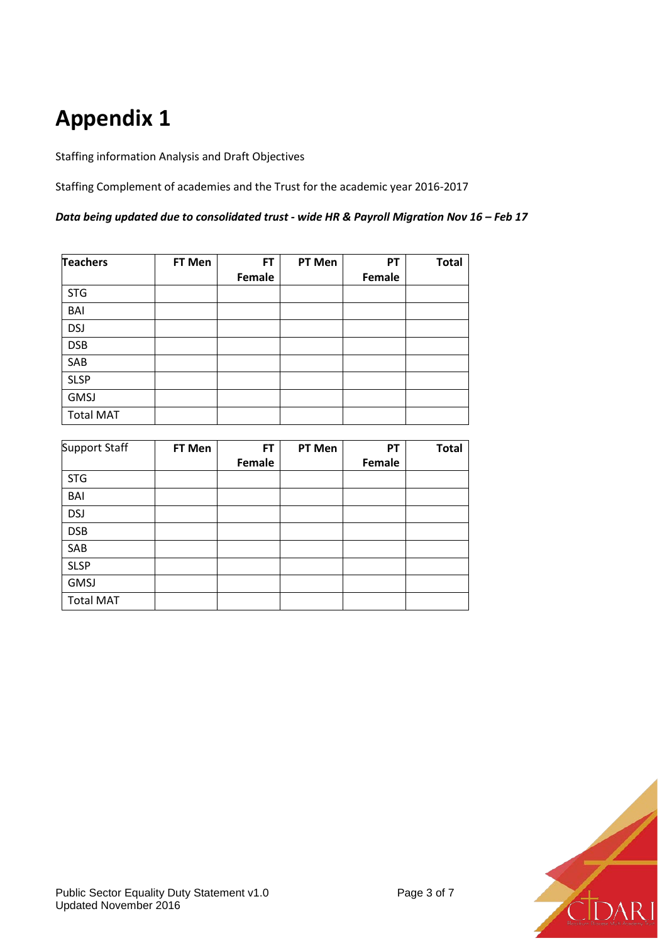# **Appendix 1**

Staffing information Analysis and Draft Objectives

Staffing Complement of academies and the Trust for the academic year 2016-2017

*Data being updated due to consolidated trust - wide HR & Payroll Migration Nov 16 – Feb 17*

| <b>Teachers</b>  | FT Men | <b>FT</b> | PT Men | PТ     | <b>Total</b> |
|------------------|--------|-----------|--------|--------|--------------|
|                  |        | Female    |        | Female |              |
| <b>STG</b>       |        |           |        |        |              |
| BAI              |        |           |        |        |              |
| <b>DSJ</b>       |        |           |        |        |              |
| <b>DSB</b>       |        |           |        |        |              |
| SAB              |        |           |        |        |              |
| <b>SLSP</b>      |        |           |        |        |              |
| <b>GMSJ</b>      |        |           |        |        |              |
| <b>Total MAT</b> |        |           |        |        |              |

| Support Staff    | FT Men | FT     | PT Men | PT     | <b>Total</b> |
|------------------|--------|--------|--------|--------|--------------|
|                  |        | Female |        | Female |              |
| <b>STG</b>       |        |        |        |        |              |
| BAI              |        |        |        |        |              |
| <b>DSJ</b>       |        |        |        |        |              |
| <b>DSB</b>       |        |        |        |        |              |
| SAB              |        |        |        |        |              |
| <b>SLSP</b>      |        |        |        |        |              |
| <b>GMSJ</b>      |        |        |        |        |              |
| <b>Total MAT</b> |        |        |        |        |              |

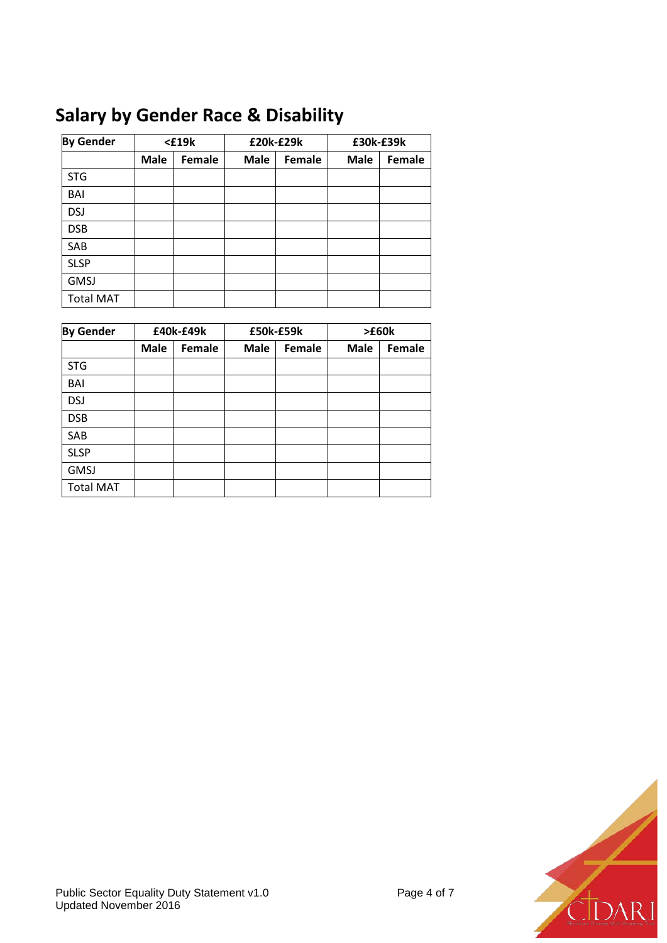# **Salary by Gender Race & Disability**

| <b>By Gender</b> |             | $<$ £19 $k$ | £20k-£29k   |        | £30k-£39k   |        |  |
|------------------|-------------|-------------|-------------|--------|-------------|--------|--|
|                  | <b>Male</b> | Female      | <b>Male</b> | Female | <b>Male</b> | Female |  |
| <b>STG</b>       |             |             |             |        |             |        |  |
| BAI              |             |             |             |        |             |        |  |
| <b>DSJ</b>       |             |             |             |        |             |        |  |
| <b>DSB</b>       |             |             |             |        |             |        |  |
| SAB              |             |             |             |        |             |        |  |
| <b>SLSP</b>      |             |             |             |        |             |        |  |
| <b>GMSJ</b>      |             |             |             |        |             |        |  |
| <b>Total MAT</b> |             |             |             |        |             |        |  |

| <b>By Gender</b> |             | £40k-£49k | £50k-£59k   |        | >E60k       |        |  |
|------------------|-------------|-----------|-------------|--------|-------------|--------|--|
|                  | <b>Male</b> | Female    | <b>Male</b> | Female | <b>Male</b> | Female |  |
| <b>STG</b>       |             |           |             |        |             |        |  |
| BAI              |             |           |             |        |             |        |  |
| <b>DSJ</b>       |             |           |             |        |             |        |  |
| <b>DSB</b>       |             |           |             |        |             |        |  |
| SAB              |             |           |             |        |             |        |  |
| <b>SLSP</b>      |             |           |             |        |             |        |  |
| <b>GMSJ</b>      |             |           |             |        |             |        |  |
| <b>Total MAT</b> |             |           |             |        |             |        |  |

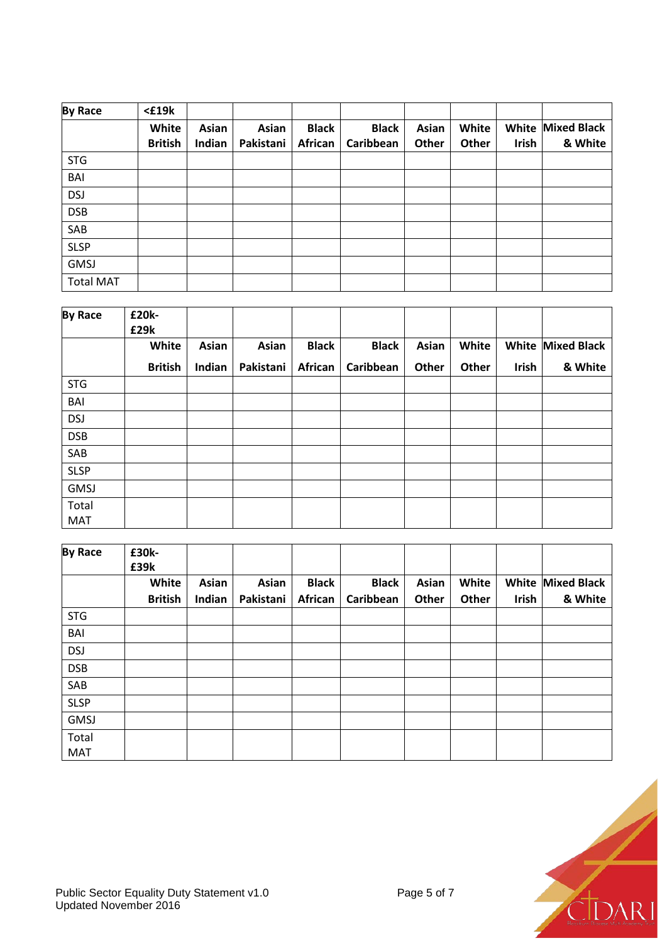| <b>By Race</b>   | $£19k$         |        |           |              |              |       |       |       |                          |
|------------------|----------------|--------|-----------|--------------|--------------|-------|-------|-------|--------------------------|
|                  | White          | Asian  | Asian     | <b>Black</b> | <b>Black</b> | Asian | White |       | <b>White Mixed Black</b> |
|                  | <b>British</b> | Indian | Pakistani | African      | Caribbean    | Other | Other | Irish | & White                  |
| <b>STG</b>       |                |        |           |              |              |       |       |       |                          |
| BAI              |                |        |           |              |              |       |       |       |                          |
| <b>DSJ</b>       |                |        |           |              |              |       |       |       |                          |
| <b>DSB</b>       |                |        |           |              |              |       |       |       |                          |
| SAB              |                |        |           |              |              |       |       |       |                          |
| <b>SLSP</b>      |                |        |           |              |              |       |       |       |                          |
| <b>GMSJ</b>      |                |        |           |              |              |       |       |       |                          |
| <b>Total MAT</b> |                |        |           |              |              |       |       |       |                          |

| White<br><b>Asian</b><br><b>British</b><br>Indian | Asian<br>Pakistani | <b>Black</b> | <b>Black</b> | Asian | White |       |                          |
|---------------------------------------------------|--------------------|--------------|--------------|-------|-------|-------|--------------------------|
|                                                   |                    |              |              |       |       |       | <b>White Mixed Black</b> |
|                                                   |                    | African      | Caribbean    | Other | Other | Irish | & White                  |
|                                                   |                    |              |              |       |       |       |                          |
|                                                   |                    |              |              |       |       |       |                          |
|                                                   |                    |              |              |       |       |       |                          |
|                                                   |                    |              |              |       |       |       |                          |
|                                                   |                    |              |              |       |       |       |                          |
|                                                   |                    |              |              |       |       |       |                          |
|                                                   |                    |              |              |       |       |       |                          |
|                                                   |                    |              |              |       |       |       |                          |
|                                                   |                    |              |              |       |       |       |                          |

| <b>By Race</b> | £30k-<br>£39k  |        |           |              |              |       |       |       |                          |
|----------------|----------------|--------|-----------|--------------|--------------|-------|-------|-------|--------------------------|
|                | White          | Asian  | Asian     | <b>Black</b> | <b>Black</b> | Asian | White |       | <b>White Mixed Black</b> |
|                | <b>British</b> | Indian | Pakistani | African      | Caribbean    | Other | Other | Irish | & White                  |
| <b>STG</b>     |                |        |           |              |              |       |       |       |                          |
| BAI            |                |        |           |              |              |       |       |       |                          |
| <b>DSJ</b>     |                |        |           |              |              |       |       |       |                          |
| <b>DSB</b>     |                |        |           |              |              |       |       |       |                          |
| SAB            |                |        |           |              |              |       |       |       |                          |
| <b>SLSP</b>    |                |        |           |              |              |       |       |       |                          |
| <b>GMSJ</b>    |                |        |           |              |              |       |       |       |                          |
| Total          |                |        |           |              |              |       |       |       |                          |
| <b>MAT</b>     |                |        |           |              |              |       |       |       |                          |

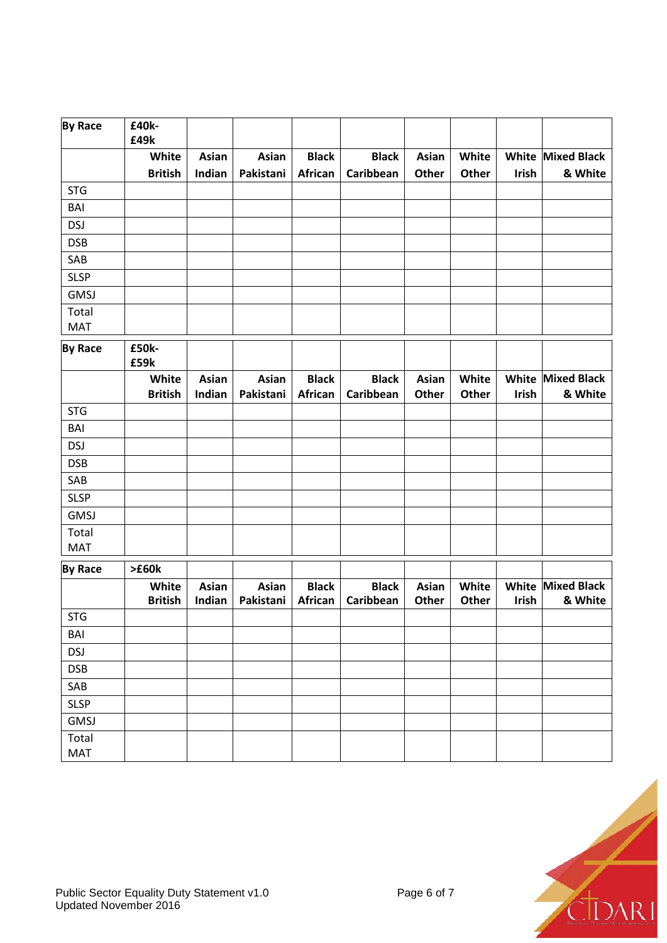| <b>By Race</b>      | £40k-<br>£49k           |                 |                           |                         |                           |                       |                |                       |                               |
|---------------------|-------------------------|-----------------|---------------------------|-------------------------|---------------------------|-----------------------|----------------|-----------------------|-------------------------------|
|                     | White<br><b>British</b> | Asian<br>Indian | <b>Asian</b><br>Pakistani | <b>Black</b><br>African | <b>Black</b><br>Caribbean | Asian<br>Other        | White<br>Other | White<br>Irish        | <b>Mixed Black</b><br>& White |
| <b>STG</b>          |                         |                 |                           |                         |                           |                       |                |                       |                               |
| <b>BAI</b>          |                         |                 |                           |                         |                           |                       |                |                       |                               |
| <b>DSJ</b>          |                         |                 |                           |                         |                           |                       |                |                       |                               |
| <b>DSB</b>          |                         |                 |                           |                         |                           |                       |                |                       |                               |
| SAB                 |                         |                 |                           |                         |                           |                       |                |                       |                               |
| <b>SLSP</b>         |                         |                 |                           |                         |                           |                       |                |                       |                               |
| <b>GMSJ</b>         |                         |                 |                           |                         |                           |                       |                |                       |                               |
| Total<br>MAT        |                         |                 |                           |                         |                           |                       |                |                       |                               |
| <b>By Race</b>      | £50k-<br>£59k           |                 |                           |                         |                           |                       |                |                       |                               |
|                     | White                   | Asian           | Asian                     | <b>Black</b>            | <b>Black</b>              | Asian                 | White          | White                 | <b>Mixed Black</b>            |
|                     | <b>British</b>          | Indian          | Pakistani                 | African                 | Caribbean                 | Other                 | Other          | Irish                 | & White                       |
| <b>STG</b>          |                         |                 |                           |                         |                           |                       |                |                       |                               |
| BAI                 |                         |                 |                           |                         |                           |                       |                |                       |                               |
| <b>DSJ</b>          |                         |                 |                           |                         |                           |                       |                |                       |                               |
| <b>DSB</b>          |                         |                 |                           |                         |                           |                       |                |                       |                               |
| SAB                 |                         |                 |                           |                         |                           |                       |                |                       |                               |
| <b>SLSP</b>         |                         |                 |                           |                         |                           |                       |                |                       |                               |
| <b>GMSJ</b>         |                         |                 |                           |                         |                           |                       |                |                       |                               |
| Total<br><b>MAT</b> |                         |                 |                           |                         |                           |                       |                |                       |                               |
| <b>By Race</b>      | >E60k                   |                 |                           |                         |                           |                       |                |                       |                               |
|                     | White<br><b>British</b> | Asian<br>Indian | Asian<br>Pakistani        | <b>Black</b><br>African | <b>Black</b><br>Caribbean | Asian<br><b>Other</b> | White<br>Other | White<br><b>Irish</b> | <b>Mixed Black</b><br>& White |
| <b>STG</b>          |                         |                 |                           |                         |                           |                       |                |                       |                               |
| BAI                 |                         |                 |                           |                         |                           |                       |                |                       |                               |
| <b>DSJ</b>          |                         |                 |                           |                         |                           |                       |                |                       |                               |
| <b>DSB</b>          |                         |                 |                           |                         |                           |                       |                |                       |                               |
| SAB                 |                         |                 |                           |                         |                           |                       |                |                       |                               |
| <b>SLSP</b>         |                         |                 |                           |                         |                           |                       |                |                       |                               |
| GMSJ                |                         |                 |                           |                         |                           |                       |                |                       |                               |
| Total<br>MAT        |                         |                 |                           |                         |                           |                       |                |                       |                               |